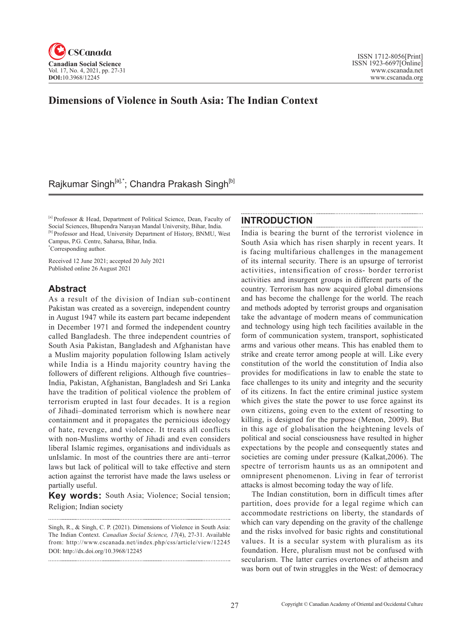

# **Dimensions of Violence in South Asia: The Indian Context**

# Rajkumar Singh<sup>[a],\*</sup>; Chandra Prakash Singh<sup>[b]</sup>

[a] Professor & Head, Department of Political Science, Dean, Faculty of Social Sciences, Bhupendra Narayan Mandal University, Bihar, India. [b] Professor and Head, University Department of History, BNMU, West Campus, P.G. Centre, Saharsa, Bihar, India. \* Corresponding author.

Received 12 June 2021; accepted 20 July 2021 Published online 26 August 2021

### **Abstract**

As a result of the division of Indian sub-continent Pakistan was created as a sovereign, independent country in August 1947 while its eastern part became independent in December 1971 and formed the independent country called Bangladesh. The three independent countries of South Asia Pakistan, Bangladesh and Afghanistan have a Muslim majority population following Islam actively while India is a Hindu majority country having the followers of different religions. Although five countries– India, Pakistan, Afghanistan, Bangladesh and Sri Lanka have the tradition of political violence the problem of terrorism erupted in last four decades. It is a region of Jihadi–dominated terrorism which is nowhere near containment and it propagates the pernicious ideology of hate, revenge, and violence. It treats all conflicts with non-Muslims worthy of Jihadi and even considers liberal Islamic regimes, organisations and individuals as unIslamic. In most of the countries there are anti–terror laws but lack of political will to take effective and stern action against the terrorist have made the laws useless or partially useful.

**Key words:** South Asia; Violence; Social tension; Religion; Indian society

### **INTRODUCTION**

India is bearing the burnt of the terrorist violence in South Asia which has risen sharply in recent years. It is facing multifarious challenges in the management of its internal security. There is an upsurge of terrorist activities, intensification of cross- border terrorist activities and insurgent groups in different parts of the country. Terrorism has now acquired global dimensions and has become the challenge for the world. The reach and methods adopted by terrorist groups and organisation take the advantage of modern means of communication and technology using high tech facilities available in the form of communication system, transport, sophisticated arms and various other means. This has enabled them to strike and create terror among people at will. Like every constitution of the world the constitution of India also provides for modifications in law to enable the state to face challenges to its unity and integrity and the security of its citizens. In fact the entire criminal justice system which gives the state the power to use force against its own citizens, going even to the extent of resorting to killing, is designed for the purpose (Menon, 2009). But in this age of globalisation the heightening levels of political and social consciousness have resulted in higher expectations by the people and consequently states and societies are coming under pressure (Kalkat,2006). The spectre of terrorism haunts us as an omnipotent and omnipresent phenomenon. Living in fear of terrorist attacks is almost becoming today the way of life.

The Indian constitution, born in difficult times after partition, does provide for a legal regime which can accommodate restrictions on liberty, the standards of which can vary depending on the gravity of the challenge and the risks involved for basic rights and constitutional values. It is a secular system with pluralism as its foundation. Here, pluralism must not be confused with secularism. The latter carries overtones of atheism and was born out of twin struggles in the West: of democracy

Singh, R., & Singh, C. P. (2021). Dimensions of Violence in South Asia: The Indian Context. *Canadian Social Science*, <sup>17</sup>(4), 27-31. Available from: http://www.cscanada.net/index.php/css/article/view/12245 DOI: http://dx.doi.org/10.3968/12245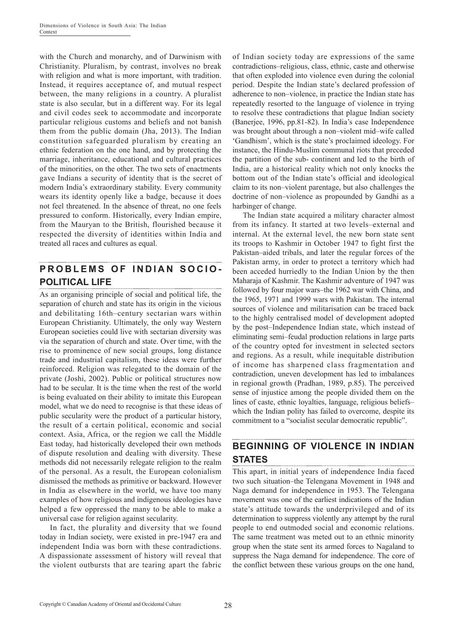with the Church and monarchy, and of Darwinism with Christianity. Pluralism, by contrast, involves no break with religion and what is more important, with tradition. Instead, it requires acceptance of, and mutual respect between, the many religions in a country. A pluralist state is also secular, but in a different way. For its legal and civil codes seek to accommodate and incorporate particular religious customs and beliefs and not banish them from the public domain (Jha, 2013). The Indian constitution safeguarded pluralism by creating an ethnic federation on the one hand, and by protecting the marriage, inheritance, educational and cultural practices of the minorities, on the other. The two sets of enactments gave Indians a security of identity that is the secret of modern India's extraordinary stability. Every community wears its identity openly like a badge, because it does not feel threatened. In the absence of threat, no one feels pressured to conform. Historically, every Indian empire, from the Mauryan to the British, flourished because it respected the diversity of identities within India and treated all races and cultures as equal.

#### **PROBLEMS OF INDIAN SOCIO-POLITICAL LIFE**

As an organising principle of social and political life, the separation of church and state has its origin in the vicious and debilitating 16th–century sectarian wars within European Christianity. Ultimately, the only way Western European societies could live with sectarian diversity was via the separation of church and state. Over time, with the rise to prominence of new social groups, long distance trade and industrial capitalism, these ideas were further reinforced. Religion was relegated to the domain of the private (Joshi, 2002). Public or political structures now had to be secular. It is the time when the rest of the world is being evaluated on their ability to imitate this European model, what we do need to recognise is that these ideas of public secularity were the product of a particular history, the result of a certain political, economic and social context. Asia, Africa, or the region we call the Middle East today, had historically developed their own methods of dispute resolution and dealing with diversity. These methods did not necessarily relegate religion to the realm of the personal. As a result, the European colonialism dismissed the methods as primitive or backward. However in India as elsewhere in the world, we have too many examples of how religious and indigenous ideologies have helped a few oppressed the many to be able to make a universal case for religion against secularity.

In fact, the plurality and diversity that we found today in Indian society, were existed in pre-1947 era and independent India was born with these contradictions. A dispassionate assessment of history will reveal that the violent outbursts that are tearing apart the fabric of Indian society today are expressions of the same contradictions–religious, class, ethnic, caste and otherwise that often exploded into violence even during the colonial period. Despite the Indian state's declared profession of adherence to non–violence, in practice the Indian state has repeatedly resorted to the language of violence in trying to resolve these contradictions that plague Indian society (Banerjee, 1996, pp.81-82). In India's case Independence was brought about through a non–violent mid–wife called 'Gandhism', which is the state's proclaimed ideology. For instance, the Hindu-Muslim communal riots that preceded the partition of the sub- continent and led to the birth of India, are a historical reality which not only knocks the bottom out of the Indian state's official and ideological claim to its non–violent parentage, but also challenges the doctrine of non–violence as propounded by Gandhi as a harbinger of change.

The Indian state acquired a military character almost from its infancy. It started at two levels–external and internal. At the external level, the new born state sent its troops to Kashmir in October 1947 to fight first the Pakistan–aided tribals, and later the regular forces of the Pakistan army, in order to protect a territory which had been acceded hurriedly to the Indian Union by the then Maharaja of Kashmir. The Kashmir adventure of 1947 was followed by four major wars–the 1962 war with China, and the 1965, 1971 and 1999 wars with Pakistan. The internal sources of violence and militarisation can be traced back to the highly centralised model of development adopted by the post–Independence Indian state, which instead of eliminating semi–feudal production relations in large parts of the country opted for investment in selected sectors and regions. As a result, while inequitable distribution of income has sharpened class fragmentation and contradiction, uneven development has led to imbalances in regional growth (Pradhan, 1989, p.85). The perceived sense of injustice among the people divided them on the lines of caste, ethnic loyalties, language, religious beliefs– which the Indian polity has failed to overcome, despite its commitment to a "socialist secular democratic republic".

#### **BEGINNING OF VIOLENCE IN INDIAN STATES** . . . . . . . . . . . . . . . .

This apart, in initial years of independence India faced two such situation–the Telengana Movement in 1948 and Naga demand for independence in 1953. The Telengana movement was one of the earliest indications of the Indian state's attitude towards the underprivileged and of its determination to suppress violently any attempt by the rural people to end outmoded social and economic relations. The same treatment was meted out to an ethnic minority group when the state sent its armed forces to Nagaland to suppress the Naga demand for independence. The core of the conflict between these various groups on the one hand,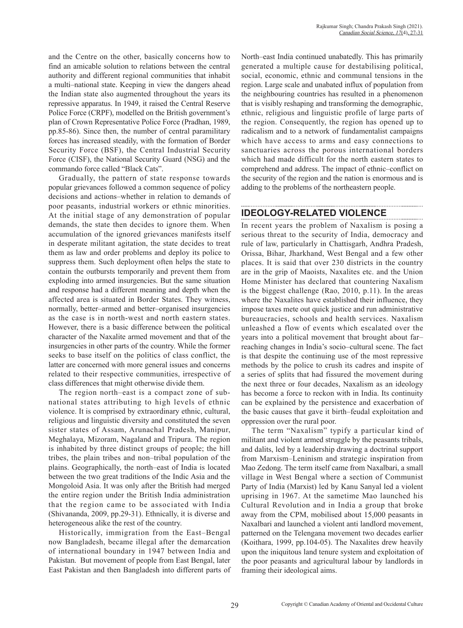and the Centre on the other, basically concerns how to find an amicable solution to relations between the central authority and different regional communities that inhabit a multi–national state. Keeping in view the dangers ahead the Indian state also augmented throughout the years its repressive apparatus. In 1949, it raised the Central Reserve Police Force (CRPF), modelled on the British government's plan of Crown Representative Police Force (Pradhan, 1989, pp.85-86). Since then, the number of central paramilitary forces has increased steadily, with the formation of Border Security Force (BSF), the Central Industrial Security Force (CISF), the National Security Guard (NSG) and the commando force called "Black Cats".

Gradually, the pattern of state response towards popular grievances followed a common sequence of policy decisions and actions–whether in relation to demands of poor peasants, industrial workers or ethnic minorities. At the initial stage of any demonstration of popular demands, the state then decides to ignore them. When accumulation of the ignored grievances manifests itself in desperate militant agitation, the state decides to treat them as law and order problems and deploy its police to suppress them. Such deployment often helps the state to contain the outbursts temporarily and prevent them from exploding into armed insurgencies. But the same situation and response had a different meaning and depth when the affected area is situated in Border States. They witness, normally, better–armed and better–organised insurgencies as the case is in north-west and north eastern states. However, there is a basic difference between the political character of the Naxalite armed movement and that of the insurgencies in other parts of the country. While the former seeks to base itself on the politics of class conflict, the latter are concerned with more general issues and concerns related to their respective communities, irrespective of class differences that might otherwise divide them.

The region north–east is a compact zone of subnational states attributing to high levels of ethnic violence. It is comprised by extraordinary ethnic, cultural, religious and linguistic diversity and constituted the seven sister states of Assam, Arunachal Pradesh, Manipur, Meghalaya, Mizoram, Nagaland and Tripura. The region is inhabited by three distinct groups of people; the hill tribes, the plain tribes and non–tribal population of the plains. Geographically, the north–east of India is located between the two great traditions of the Indic Asia and the Mongoloid Asia. It was only after the British had merged the entire region under the British India administration that the region came to be associated with India (Shivananda, 2009, pp.29-31). Ethnically, it is diverse and heterogeneous alike the rest of the country.

Historically, immigration from the East–Bengal now Bangladesh, became illegal after the demarcation of international boundary in 1947 between India and Pakistan. But movement of people from East Bengal, later East Pakistan and then Bangladesh into different parts of North–east India continued unabatedly. This has primarily generated a multiple cause for destabilising political, social, economic, ethnic and communal tensions in the region. Large scale and unabated influx of population from the neighbouring countries has resulted in a phenomenon that is visibly reshaping and transforming the demographic, ethnic, religious and linguistic profile of large parts of the region. Consequently, the region has opened up to radicalism and to a network of fundamentalist campaigns which have access to arms and easy connections to sanctuaries across the porous international borders which had made difficult for the north eastern states to comprehend and address. The impact of ethnic–conflict on the security of the region and the nation is enormous and is adding to the problems of the northeastern people.

### **IDEOLOGY-RELATED VIOLENCE**

In recent years the problem of Naxalism is posing a serious threat to the security of India, democracy and rule of law, particularly in Chattisgarh, Andhra Pradesh, Orissa, Bihar, Jharkhand, West Bengal and a few other places. It is said that over 230 districts in the country are in the grip of Maoists, Naxalites etc. and the Union Home Minister has declared that countering Naxalism is the biggest challenge (Rao, 2010, p.11). In the areas where the Naxalites have established their influence, they impose taxes mete out quick justice and run administrative bureaucracies, schools and health services. Naxalism unleashed a flow of events which escalated over the years into a political movement that brought about far– reaching changes in India's socio–cultural scene. The fact is that despite the continuing use of the most repressive methods by the police to crush its cadres and inspite of a series of splits that had fissured the movement during the next three or four decades, Naxalism as an ideology has become a force to reckon with in India. Its continuity can be explained by the persistence and exacerbation of the basic causes that gave it birth–feudal exploitation and oppression over the rural poor.

The term "Naxalism" typify a particular kind of militant and violent armed struggle by the peasants tribals, and dalits, led by a leadership drawing a doctrinal support from Marxism–Leninism and strategic inspiration from Mao Zedong. The term itself came from Naxalbari, a small village in West Bengal where a section of Communist Party of India (Marxist) led by Kanu Sanyal led a violent uprising in 1967. At the sametime Mao launched his Cultural Revolution and in India a group that broke away from the CPM, mobilised about 15,000 peasants in Naxalbari and launched a violent anti landlord movement, patterned on the Telengana movement two decades earlier (Koithara, 1999, pp.104-05). The Naxalites drew heavily upon the iniquitous land tenure system and exploitation of the poor peasants and agricultural labour by landlords in framing their ideological aims.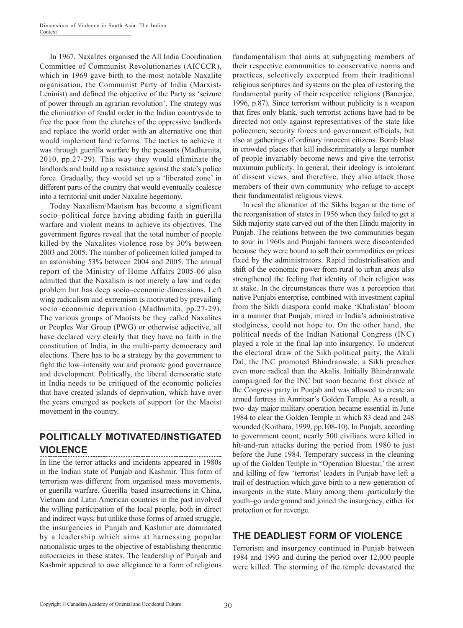In 1967, Naxalites organised the All India Coordination Committee of Communist Revolutionaries (AICCCR), which in 1969 gave birth to the most notable Naxalite organisation, the Communist Party of India (Marxist-Leninist) and defined the objective of the Party as 'seizure of power through an agrarian revolution'. The strategy was the elimination of feudal order in the Indian countryside to free the poor from the clutches of the oppressive landlords and replace the world order with an alternative one that would implement land reforms. The tactics to achieve it was through guerilla warfare by the peasants (Madhumita, 2010, pp.27-29). This way they would eliminate the landlords and build up a resistance against the state's police force. Gradually, they would set up a 'liberated zone' in different parts of the country that would eventually coalesce into a territorial unit under Naxalite hegemony.

Today Naxalism/Maoism has become a significant socio–political force having abiding faith in guerilla warfare and violent means to achieve its objectives. The government figures reveal that the total number of people killed by the Naxalites violence rose by 30% between 2003 and 2005. The number of policemen killed jumped to an astonishing 53% between 2004 and 2005. The annual report of the Ministry of Home Affairs 2005-06 also admitted that the Naxalism is not merely a law and order problem but has deep socio–economic dimensions. Left wing radicalism and extremism is motivated by prevailing socio–economic deprivation (Madhumita, pp.27-29). The various groups of Maoists be they called Naxalites or Peoples War Group (PWG) or otherwise adjective, all have declared very clearly that they have no faith in the constitution of India, in the multi-party democracy and elections. There has to be a strategy by the government to fight the low–intensity war and promote good governance and development. Politically, the liberal democratic state in India needs to be critiqued of the economic policies that have created islands of deprivation, which have over the years emerged as pockets of support for the Maoist movement in the country.

#### **POLITICALLY MOTIVATED/INSTIGATED VIOLENCE**

In line the terror attacks and incidents appeared in 1980s in the Indian state of Punjab and Kashmir. This form of terrorism was different from organised mass movements, or guerilla warfare. Guerilla–based insurrections in China, Vietnam and Latin American countries in the past involved the willing participation of the local people, both in direct and indirect ways, but unlike those forms of armed struggle, the insurgencies in Punjab and Kashmir are dominated by a leadership which aims at harnessing popular nationalistic urges to the objective of establishing theocratic autocracies in these states. The leadership of Punjab and Kashmir appeared to owe allegiance to a form of religious

fundamentalism that aims at subjugating members of their respective communities to conservative norms and practices, selectively excerpted from their traditional religious scriptures and systems on the plea of restoring the fundamental purity of their respective religions (Banerjee, 1996, p.87). Since terrorism without publicity is a weapon that fires only blank, such terrorist actions have had to be directed not only against representatives of the state like policemen, security forces and government officials, but also at gatherings of ordinary innocent citizens. Bomb blast in crowded places that kill indiscriminately a large number of people invariably become news and give the terrorist maximum publicity. In general, their ideology is intolerant of dissent views, and therefore, they also attack those members of their own community who refuge to accept their fundamentalist religious views.

In real the alienation of the Sikhs began at the time of the reorganisation of states in 1956 when they failed to get a Sikh majority state carved out of the then Hindu majority in Punjab. The relations between the two communities began to sour in 1960s and Punjabi farmers were discontended because they were bound to sell their commodities on prices fixed by the administrators. Rapid industrialisation and shift of the economic power from rural to urban areas also strengthened the feeling that identity of their religion was at stake. In the circumstances there was a perception that native Punjabi enterprise, combined with investment capital from the Sikh diaspora could make 'Khalistan' bloom in a manner that Punjab, mired in India's administrative stodginess, could not hope to. On the other hand, the political needs of the Indian National Congress (INC) played a role in the final lap into insurgency. To undercut the electoral draw of the Sikh political party, the Akali Dal, the INC promoted Bhindranwale, a Sikh preacher even more radical than the Akalis. Initially Bhindranwale campaigned for the INC but soon became first choice of the Congress party in Punjab and was allowed to create an armed fortress in Amritsar's Golden Temple. As a result, a two–day major military operation became essential in June 1984 to clear the Golden Temple in which 83 dead and 248 wounded (Koithara, 1999, pp.108-10). In Punjab, according to government count, nearly 500 civilians were killed in hit-and-run attacks during the period from 1980 to just before the June 1984. Temporary success in the cleaning up of the Golden Temple in "Operation Bluestar,' the arrest and killing of few 'terrorist' leaders in Punjab have left a trail of destruction which gave birth to a new generation of insurgents in the state. Many among them–particularly the youth–go underground and joined the insurgency, either for protection or for revenge.

## **THE DEADLIEST FORM OF VIOLENCE**

Terrorism and insurgency continued in Punjab between 1984 and 1993 and during the period over 12,000 people were killed. The storming of the temple devastated the